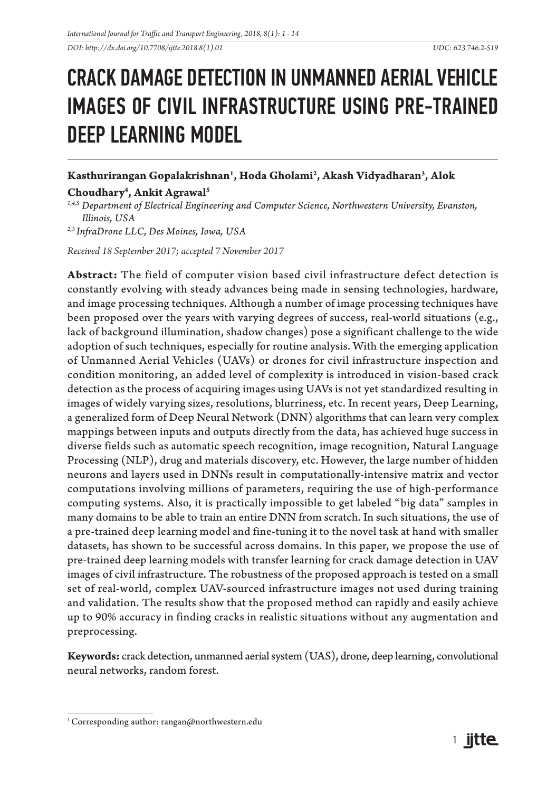*DOI: http://dx.doi.org/10.7708/ijtte.2018.8(1).01 UDC: 623.746.2-519* 

# CRACK DAMAGE DETECTION IN UNMANNED AERIAL VEHICLE IMAGES OF CIVIL INFRASTRUCTURE USING PRE-TRAINED DEEP LEARNING MODEL

### **Kasthurirangan Gopalakrishnan1 , Hoda Gholami2 , Akash Vidyadharan3 , Alok**

## **Choudhary4 , Ankit Agrawal5**

*1,4,5 Department of Electrical Engineering and Computer Science, Northwestern University, Evanston, Illinois, USA*

*2,3 InfraDrone LLC, Des Moines, Iowa, USA*

*Received 18 September 2017; accepted 7 November 2017*

**Abstract:** The field of computer vision based civil infrastructure defect detection is constantly evolving with steady advances being made in sensing technologies, hardware, and image processing techniques. Although a number of image processing techniques have been proposed over the years with varying degrees of success, real-world situations (e.g., lack of background illumination, shadow changes) pose a significant challenge to the wide adoption of such techniques, especially for routine analysis. With the emerging application of Unmanned Aerial Vehicles (UAVs) or drones for civil infrastructure inspection and condition monitoring, an added level of complexity is introduced in vision-based crack detection as the process of acquiring images using UAVs is not yet standardized resulting in images of widely varying sizes, resolutions, blurriness, etc. In recent years, Deep Learning, a generalized form of Deep Neural Network (DNN) algorithms that can learn very complex mappings between inputs and outputs directly from the data, has achieved huge success in diverse fields such as automatic speech recognition, image recognition, Natural Language Processing (NLP), drug and materials discovery, etc. However, the large number of hidden neurons and layers used in DNNs result in computationally-intensive matrix and vector computations involving millions of parameters, requiring the use of high-performance computing systems. Also, it is practically impossible to get labeled "big data" samples in many domains to be able to train an entire DNN from scratch. In such situations, the use of a pre-trained deep learning model and fine-tuning it to the novel task at hand with smaller datasets, has shown to be successful across domains. In this paper, we propose the use of pre-trained deep learning models with transfer learning for crack damage detection in UAV images of civil infrastructure. The robustness of the proposed approach is tested on a small set of real-world, complex UAV-sourced infrastructure images not used during training and validation. The results show that the proposed method can rapidly and easily achieve up to 90% accuracy in finding cracks in realistic situations without any augmentation and preprocessing.

**Keywords:** crack detection, unmanned aerial system (UAS), drone, deep learning, convolutional neural networks, random forest.

<sup>&</sup>lt;sup>1</sup> Corresponding author: rangan@northwestern.edu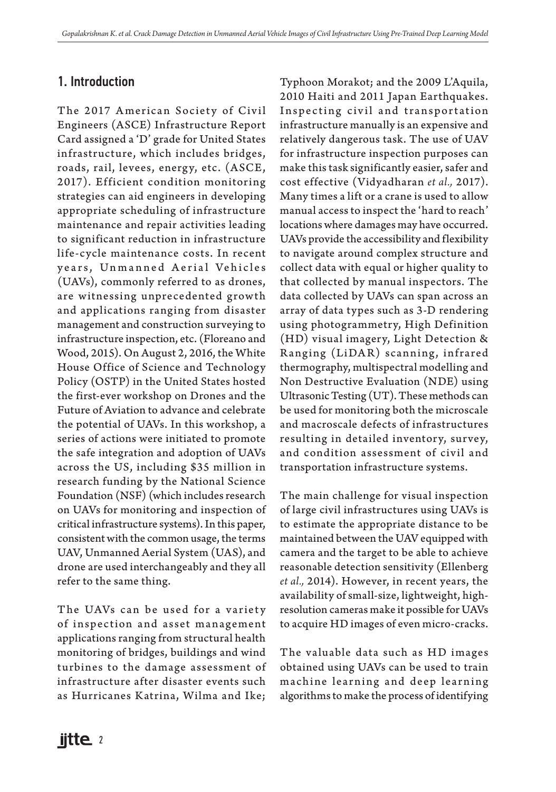## 1. Introduction

The 2017 American Society of Civil Engineers (ASCE) Infrastructure Report Card assigned a 'D' grade for United States infrastructure, which includes bridges, roads, rail, levees, energy, etc. (ASCE, 2017). Efficient condition monitoring strategies can aid engineers in developing appropriate scheduling of infrastructure maintenance and repair activities leading to significant reduction in infrastructure life-cycle maintenance costs. In recent years, Unmanned Aerial Vehicles (UAVs), commonly referred to as drones, are witnessing unprecedented growth and applications ranging from disaster management and construction surveying to infrastructure inspection, etc. (Floreano and Wood, 2015). On August 2, 2016, the White House Office of Science and Technology Policy (OSTP) in the United States hosted the first-ever workshop on Drones and the Future of Aviation to advance and celebrate the potential of UAVs. In this workshop, a series of actions were initiated to promote the safe integration and adoption of UAVs across the US, including \$35 million in research funding by the National Science Foundation (NSF) (which includes research on UAVs for monitoring and inspection of critical infrastructure systems). In this paper, consistent with the common usage, the terms UAV, Unmanned Aerial System (UAS), and drone are used interchangeably and they all refer to the same thing.

The UAVs can be used for a variety of inspection and asset management applications ranging from structural health monitoring of bridges, buildings and wind turbines to the damage assessment of infrastructure after disaster events such as Hurricanes Katrina, Wilma and Ike; Typhoon Morakot; and the 2009 L'Aquila, 2010 Haiti and 2011 Japan Earthquakes. Inspecting civil and transportation infrastructure manually is an expensive and relatively dangerous task. The use of UAV for infrastructure inspection purposes can make this task significantly easier, safer and cost effective (Vidyadharan *et al.,* 2017). Many times a lift or a crane is used to allow manual access to inspect the 'hard to reach' locations where damages may have occurred. UAVs provide the accessibility and flexibility to navigate around complex structure and collect data with equal or higher quality to that collected by manual inspectors. The data collected by UAVs can span across an array of data types such as 3-D rendering using photogrammetry, High Definition (HD) visual imagery, Light Detection & Ranging (LiDAR) scanning, infrared thermography, multispectral modelling and Non Destructive Evaluation (NDE) using Ultrasonic Testing (UT). These methods can be used for monitoring both the microscale and macroscale defects of infrastructures resulting in detailed inventory, survey, and condition assessment of civil and transportation infrastructure systems.

The main challenge for visual inspection of large civil infrastructures using UAVs is to estimate the appropriate distance to be maintained between the UAV equipped with camera and the target to be able to achieve reasonable detection sensitivity (Ellenberg *et al.,* 2014). However, in recent years, the availability of small-size, lightweight, highresolution cameras make it possible for UAVs to acquire HD images of even micro-cracks.

The valuable data such as HD images obtained using UAVs can be used to train machine learning and deep learning algorithms to make the process of identifying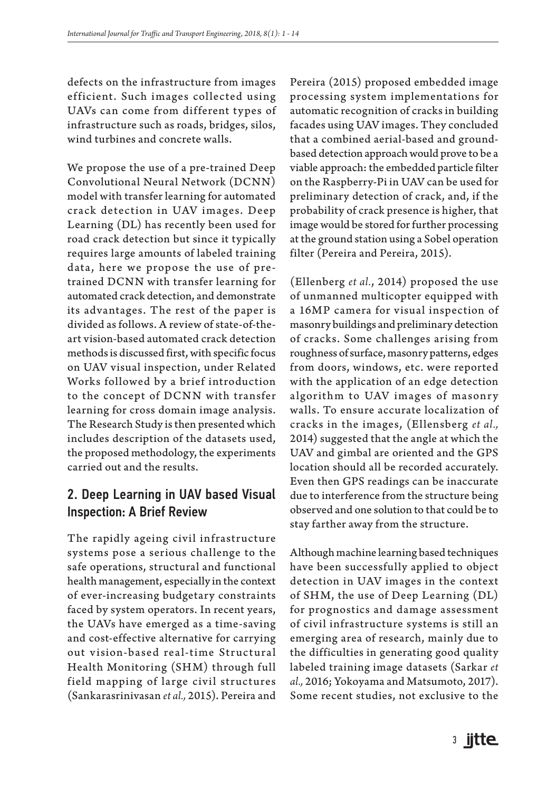defects on the infrastructure from images efficient. Such images collected using UAVs can come from different types of infrastructure such as roads, bridges, silos, wind turbines and concrete walls.

We propose the use of a pre-trained Deep Convolutional Neural Network (DCNN) model with transfer learning for automated crack detection in UAV images. Deep Learning (DL) has recently been used for road crack detection but since it typically requires large amounts of labeled training data, here we propose the use of pretrained DCNN with transfer learning for automated crack detection, and demonstrate its advantages. The rest of the paper is divided as follows. A review of state-of-theart vision-based automated crack detection methods is discussed first, with specific focus on UAV visual inspection, under Related Works followed by a brief introduction to the concept of DCNN with transfer learning for cross domain image analysis. The Research Study is then presented which includes description of the datasets used, the proposed methodology, the experiments carried out and the results.

## 2. Deep Learning in UAV based Visual Inspection: A Brief Review

The rapidly ageing civil infrastructure systems pose a serious challenge to the safe operations, structural and functional health management, especially in the context of ever-increasing budgetary constraints faced by system operators. In recent years, the UAVs have emerged as a time-saving and cost-effective alternative for carrying out vision-based real-time Structural Health Monitoring (SHM) through full field mapping of large civil structures (Sankarasrinivasan *et al.,* 2015). Pereira and

Pereira (2015) proposed embedded image processing system implementations for automatic recognition of cracks in building facades using UAV images. They concluded that a combined aerial-based and groundbased detection approach would prove to be a viable approach: the embedded particle filter on the Raspberry-Pi in UAV can be used for preliminary detection of crack, and, if the probability of crack presence is higher, that image would be stored for further processing at the ground station using a Sobel operation filter (Pereira and Pereira, 2015).

(Ellenberg *et al.*, 2014) proposed the use of unmanned multicopter equipped with a 16MP camera for visual inspection of masonry buildings and preliminary detection of cracks. Some challenges arising from roughness of surface, masonry patterns, edges from doors, windows, etc. were reported with the application of an edge detection algorithm to UAV images of masonry walls. To ensure accurate localization of cracks in the images, (Ellensberg *et al.,* 2014) suggested that the angle at which the UAV and gimbal are oriented and the GPS location should all be recorded accurately. Even then GPS readings can be inaccurate due to interference from the structure being observed and one solution to that could be to stay farther away from the structure.

Although machine learning based techniques have been successfully applied to object detection in UAV images in the context of SHM, the use of Deep Learning (DL) for prognostics and damage assessment of civil infrastructure systems is still an emerging area of research, mainly due to the difficulties in generating good quality labeled training image datasets (Sarkar *et al.,* 2016; Yokoyama and Matsumoto, 2017). Some recent studies, not exclusive to the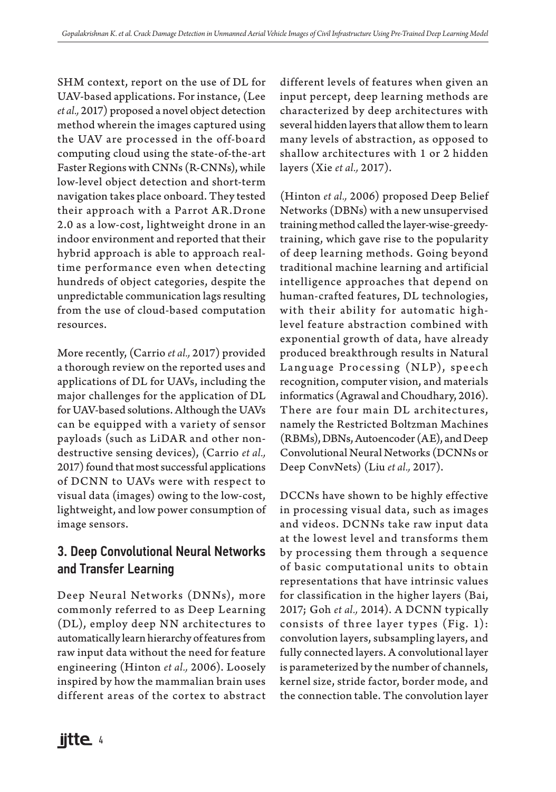SHM context, report on the use of DL for UAV-based applications. For instance, (Lee *et al.,* 2017) proposed a novel object detection method wherein the images captured using the UAV are processed in the off-board computing cloud using the state-of-the-art Faster Regions with CNNs (R-CNNs), while low-level object detection and short-term navigation takes place onboard. They tested their approach with a Parrot AR.Drone 2.0 as a low-cost, lightweight drone in an indoor environment and reported that their hybrid approach is able to approach realtime performance even when detecting hundreds of object categories, despite the unpredictable communication lags resulting from the use of cloud-based computation resources.

More recently, (Carrio *et al.,* 2017) provided a thorough review on the reported uses and applications of DL for UAVs, including the major challenges for the application of DL for UAV-based solutions. Although the UAVs can be equipped with a variety of sensor payloads (such as LiDAR and other nondestructive sensing devices), (Carrio *et al.,* 2017) found that most successful applications of DCNN to UAVs were with respect to visual data (images) owing to the low-cost, lightweight, and low power consumption of image sensors.

# 3. Deep Convolutional Neural Networks and Transfer Learning

Deep Neural Networks (DNNs), more commonly referred to as Deep Learning (DL), employ deep NN architectures to automatically learn hierarchy of features from raw input data without the need for feature engineering (Hinton *et al.,* 2006). Loosely inspired by how the mammalian brain uses different areas of the cortex to abstract different levels of features when given an input percept, deep learning methods are characterized by deep architectures with several hidden layers that allow them to learn many levels of abstraction, as opposed to shallow architectures with 1 or 2 hidden layers (Xie *et al.,* 2017).

(Hinton *et al.,* 2006) proposed Deep Belief Networks (DBNs) with a new unsupervised training method called the layer-wise-greedytraining, which gave rise to the popularity of deep learning methods. Going beyond traditional machine learning and artificial intelligence approaches that depend on human-crafted features, DL technologies, with their ability for automatic highlevel feature abstraction combined with exponential growth of data, have already produced breakthrough results in Natural Language Processing (NLP), speech recognition, computer vision, and materials informatics (Agrawal and Choudhary, 2016). There are four main DL architectures, namely the Restricted Boltzman Machines (RBMs), DBNs, Autoencoder (AE), and Deep Convolutional Neural Networks (DCNNs or Deep ConvNets) (Liu *et al.,* 2017).

DCCNs have shown to be highly effective in processing visual data, such as images and videos. DCNNs take raw input data at the lowest level and transforms them by processing them through a sequence of basic computational units to obtain representations that have intrinsic values for classification in the higher layers (Bai, 2017; Goh *et al.,* 2014). A DCNN typically consists of three layer types (Fig. 1): convolution layers, subsampling layers, and fully connected layers. A convolutional layer is parameterized by the number of channels, kernel size, stride factor, border mode, and the connection table. The convolution layer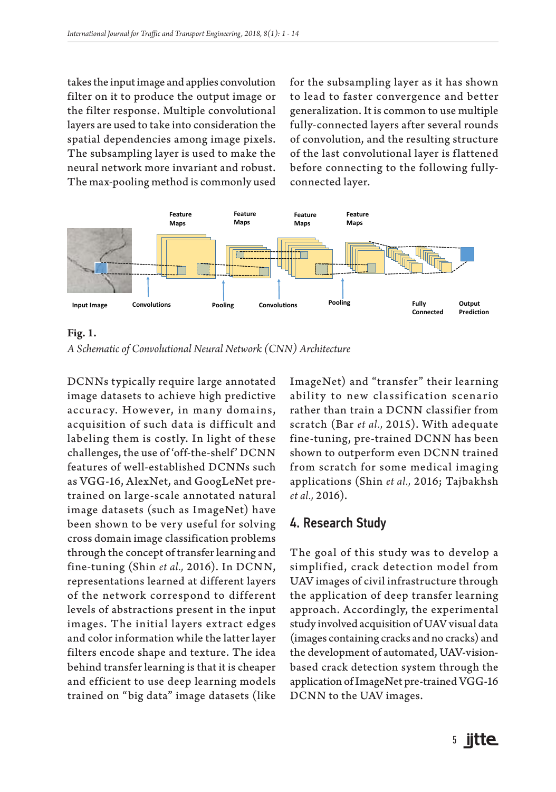takes the input image and applies convolution filter on it to produce the output image or the filter response. Multiple convolutional layers are used to take into consideration the spatial dependencies among image pixels. The subsampling layer is used to make the neural network more invariant and robust. The max-pooling method is commonly used

for the subsampling layer as it has shown to lead to faster convergence and better generalization. It is common to use multiple fully-connected layers after several rounds of convolution, and the resulting structure of the last convolutional layer is flattened before connecting to the following fullyconnected layer.



**Fig. 1.** *A Schematic of Convolutional Neural Network (CNN) Architecture*

DCNNs typically require large annotated image datasets to achieve high predictive accuracy. However, in many domains, acquisition of such data is difficult and labeling them is costly. In light of these challenges, the use of 'off-the-shelf' DCNN features of well-established DCNNs such as VGG-16, AlexNet, and GoogLeNet pretrained on large-scale annotated natural image datasets (such as ImageNet) have been shown to be very useful for solving cross domain image classification problems through the concept of transfer learning and fine-tuning (Shin *et al.,* 2016). In DCNN, representations learned at different layers of the network correspond to different levels of abstractions present in the input images. The initial layers extract edges and color information while the latter layer filters encode shape and texture. The idea behind transfer learning is that it is cheaper and efficient to use deep learning models trained on "big data" image datasets (like

ImageNet) and "transfer" their learning ability to new classification scenario rather than train a DCNN classifier from scratch (Bar *et al.,* 2015). With adequate fine-tuning, pre-trained DCNN has been shown to outperform even DCNN trained from scratch for some medical imaging applications (Shin *et al.,* 2016; Tajbakhsh *et al.,* 2016).

#### 4. Research Study

The goal of this study was to develop a simplified, crack detection model from UAV images of civil infrastructure through the application of deep transfer learning approach. Accordingly, the experimental study involved acquisition of UAV visual data (images containing cracks and no cracks) and the development of automated, UAV-visionbased crack detection system through the application of ImageNet pre-trained VGG-16 DCNN to the UAV images.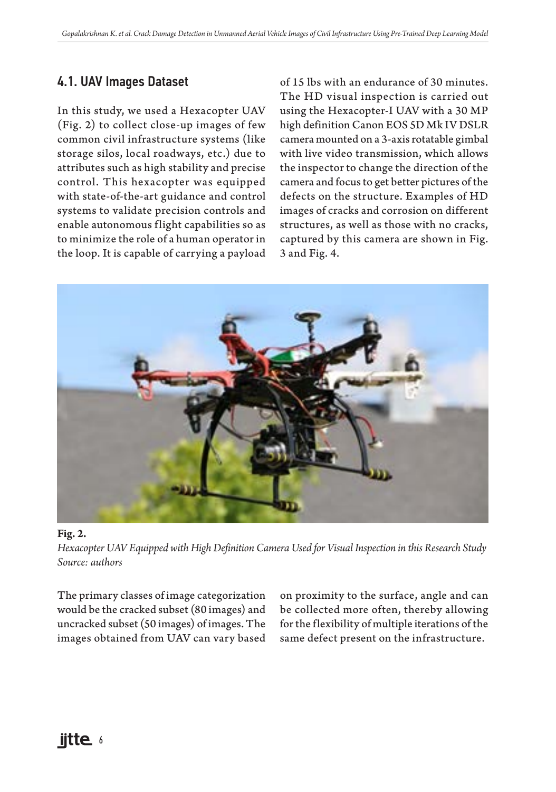# 4.1. UAV Images Dataset

In this study, we used a Hexacopter UAV (Fig. 2) to collect close-up images of few common civil infrastructure systems (like storage silos, local roadways, etc.) due to attributes such as high stability and precise control. This hexacopter was equipped with state-of-the-art guidance and control systems to validate precision controls and enable autonomous flight capabilities so as to minimize the role of a human operator in the loop. It is capable of carrying a payload of 15 lbs with an endurance of 30 minutes. The HD visual inspection is carried out using the Hexacopter-I UAV with a 30 MP high definition Canon EOS 5D Mk IV DSLR camera mounted on a 3-axis rotatable gimbal with live video transmission, which allows the inspector to change the direction of the camera and focus to get better pictures of the defects on the structure. Examples of HD images of cracks and corrosion on different structures, as well as those with no cracks, captured by this camera are shown in Fig. 3 and Fig. 4.



#### **Fig. 2.**

*Hexacopter UAV Equipped with High Definition Camera Used for Visual Inspection in this Research Study Source: authors*

The primary classes of image categorization would be the cracked subset (80 images) and uncracked subset (50 images) of images. The images obtained from UAV can vary based

on proximity to the surface, angle and can be collected more often, thereby allowing for the flexibility of multiple iterations of the same defect present on the infrastructure.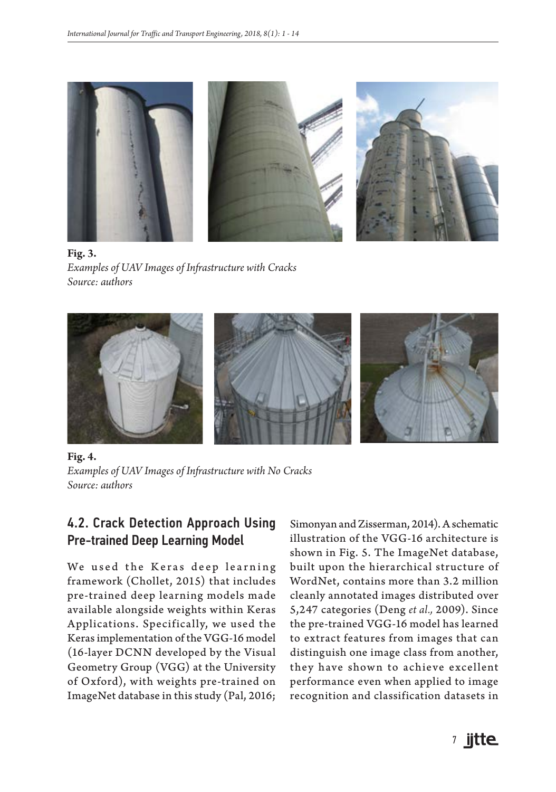

**Fig. 3.** *Examples of UAV Images of Infrastructure with Cracks Source: authors*



**Fig. 4.** *Examples of UAV Images of Infrastructure with No Cracks Source: authors*

## 4.2. Crack Detection Approach Using Pre-trained Deep Learning Model

We used the Keras deep learning framework (Chollet, 2015) that includes pre-trained deep learning models made available alongside weights within Keras Applications. Specifically, we used the Keras implementation of the VGG-16 model (16-layer DCNN developed by the Visual Geometry Group (VGG) at the University of Oxford), with weights pre-trained on ImageNet database in this study (Pal, 2016;

Simonyan and Zisserman, 2014). A schematic illustration of the VGG-16 architecture is shown in Fig. 5. The ImageNet database, built upon the hierarchical structure of WordNet, contains more than 3.2 million cleanly annotated images distributed over 5,247 categories (Deng *et al.,* 2009). Since the pre-trained VGG-16 model has learned to extract features from images that can distinguish one image class from another, they have shown to achieve excellent performance even when applied to image recognition and classification datasets in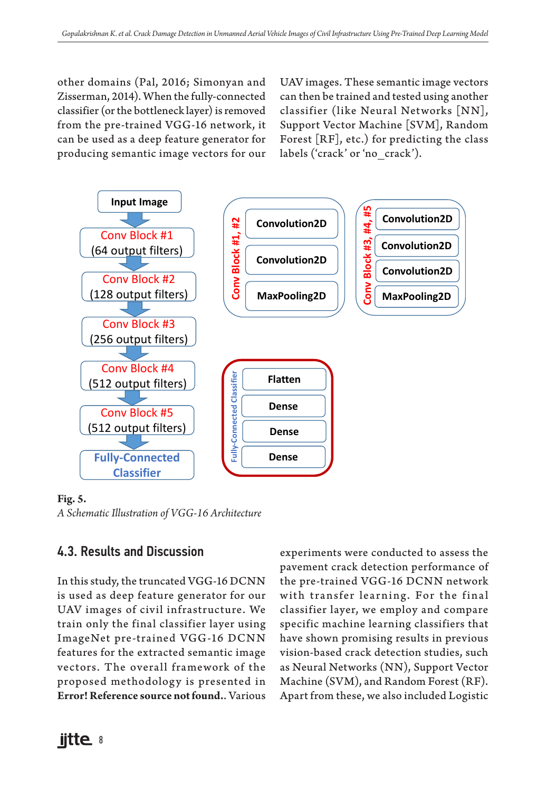other domains (Pal, 2016; Simonyan and Zisserman, 2014). When the fully-connected classifier (or the bottleneck layer) is removed from the pre-trained VGG-16 network, it can be used as a deep feature generator for producing semantic image vectors for our UAV images. These semantic image vectors can then be trained and tested using another classifier (like Neural Networks [NN], Support Vector Machine [SVM], Random Forest [RF], etc.) for predicting the class labels ('crack' or 'no\_crack').



#### **Fig. 5.**

*A Schematic Illustration of VGG-16 Architecture*

## 4.3. Results and Discussion

In this study, the truncated VGG-16 DCNN is used as deep feature generator for our UAV images of civil infrastructure. We train only the final classifier layer using ImageNet pre-trained VGG-16 DCNN features for the extracted semantic image vectors. The overall framework of the proposed methodology is presented in **Error! Reference source not found.**. Various experiments were conducted to assess the pavement crack detection performance of the pre-trained VGG-16 DCNN network with transfer learning. For the final classifier layer, we employ and compare specific machine learning classifiers that have shown promising results in previous vision-based crack detection studies, such as Neural Networks (NN), Support Vector Machine (SVM), and Random Forest (RF). Apart from these, we also included Logistic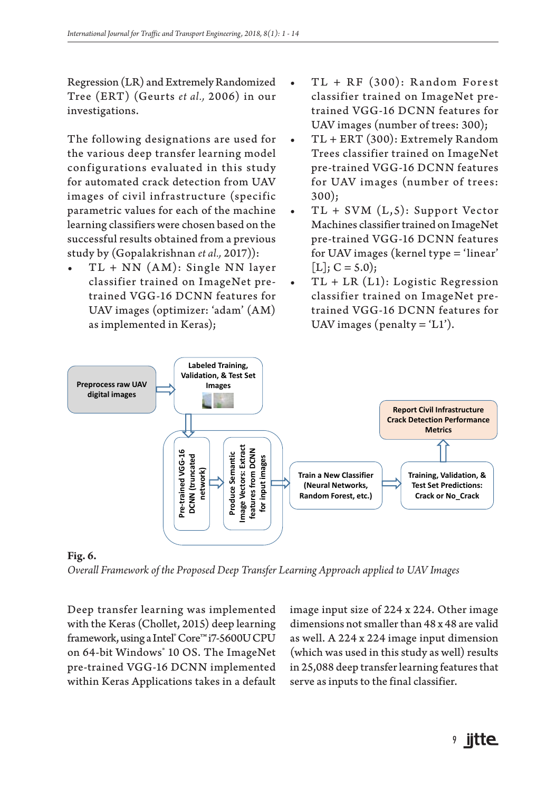Regression (LR) and Extremely Randomized Tree (ERT) (Geurts *et al.,* 2006) in our investigations.

The following designations are used for the various deep transfer learning model configurations evaluated in this study for automated crack detection from UAV images of civil infrastructure (specific parametric values for each of the machine learning classifiers were chosen based on the successful results obtained from a previous study by (Gopalakrishnan *et al.,* 2017)):

 $TL + NN (AM)$ : Single NN layer classifier trained on ImageNet pretrained VGG-16 DCNN features for UAV images (optimizer: 'adam' (AM) as implemented in Keras);

- $\bullet$  TL + RF (300): Random Forest classifier trained on ImageNet pretrained VGG-16 DCNN features for UAV images (number of trees: 300);
- TL + ERT (300): Extremely Random Trees classifier trained on ImageNet pre-trained VGG-16 DCNN features for UAV images (number of trees: 300);
- $TL + SVM (L, 5)$ : Support Vector Machines classifier trained on ImageNet pre-trained VGG-16 DCNN features for UAV images (kernel type = 'linear'  $[L]$ ;  $C = 5.0$ ;
- TL + LR (L1): Logistic Regression classifier trained on ImageNet pretrained VGG-16 DCNN features for UAV images (penalty  $=$  'L1').



**Fig. 6.**

*Overall Framework of the Proposed Deep Transfer Learning Approach applied to UAV Images*

Deep transfer learning was implemented with the Keras (Chollet, 2015) deep learning framework, using a Intel® Core™ i7-5600U CPU on 64-bit Windows® 10 OS. The ImageNet pre-trained VGG-16 DCNN implemented within Keras Applications takes in a default image input size of 224 x 224. Other image dimensions not smaller than 48 x 48 are valid as well. A 224 x 224 image input dimension (which was used in this study as well) results in 25,088 deep transfer learning features that serve as inputs to the final classifier.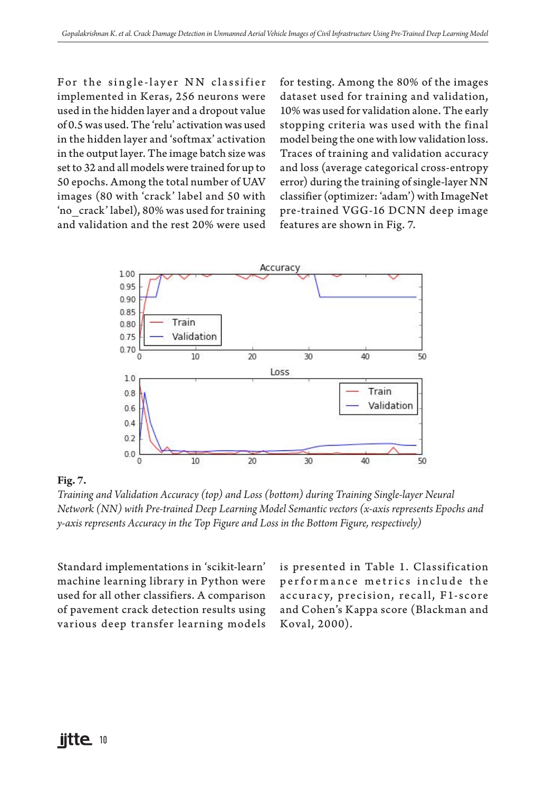For the single-layer NN classifier implemented in Keras, 256 neurons were used in the hidden layer and a dropout value of 0.5 was used. The 'relu' activation was used in the hidden layer and 'softmax' activation in the output layer. The image batch size was set to 32 and all models were trained for up to 50 epochs. Among the total number of UAV images (80 with 'crack' label and 50 with 'no\_crack' label), 80% was used for training and validation and the rest 20% were used for testing. Among the 80% of the images dataset used for training and validation, 10% was used for validation alone. The early stopping criteria was used with the final model being the one with low validation loss. Traces of training and validation accuracy and loss (average categorical cross-entropy error) during the training of single-layer NN classifier (optimizer: 'adam') with ImageNet pre-trained VGG-16 DCNN deep image features are shown in Fig. 7.



#### **Fig. 7.**

*Training and Validation Accuracy (top) and Loss (bottom) during Training Single-layer Neural Network (NN) with Pre-trained Deep Learning Model Semantic vectors (x-axis represents Epochs and y-axis represents Accuracy in the Top Figure and Loss in the Bottom Figure, respectively)*

Standard implementations in 'scikit-learn' machine learning library in Python were used for all other classifiers. A comparison of pavement crack detection results using various deep transfer learning models is presented in Table 1. Classification performance metrics include the accuracy, precision, recall, F1-score and Cohen's Kappa score (Blackman and Koval, 2000).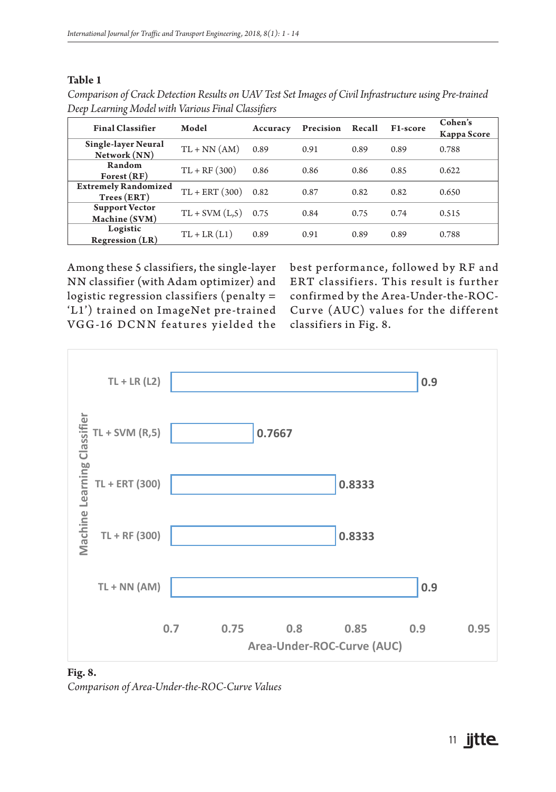#### **Table 1**

| Comparison of Crack Detection Results on UAV Test Set Images of Civil Infrastructure using Pre-trained |  |
|--------------------------------------------------------------------------------------------------------|--|
| Deep Learning Model with Various Final Classifiers                                                     |  |

| <b>Final Classifier</b>                    | Model             | Accuracy | Precision | Recall | F1-score | Cohen's<br>Kappa Score |
|--------------------------------------------|-------------------|----------|-----------|--------|----------|------------------------|
| Single-layer Neural<br>Network (NN)        | $TL + NN(AM)$     | 0.89     | 0.91      | 0.89   | 0.89     | 0.788                  |
| Random<br>$\text{Forest}(\text{RF})$       | $TL + RF(300)$    | 0.86     | 0.86      | 0.86   | 0.85     | 0.622                  |
| <b>Extremely Randomized</b><br>Trees (ERT) | $TL + ERT(300)$   | 0.82     | 0.87      | 0.82   | 0.82     | 0.650                  |
| <b>Support Vector</b><br>Machine (SVM)     | $TL + SVM (L, 5)$ | 0.75     | 0.84      | 0.75   | 0.74     | 0.515                  |
| Logistic<br><b>Regression</b> (LR)         | $TL + LR (L1)$    | 0.89     | 0.91      | 0.89   | 0.89     | 0.788                  |

Among these 5 classifiers, the single-layer NN classifier (with Adam optimizer) and logistic regression classifiers (penalty = 'L1') trained on ImageNet pre-trained VGG-16 DCNN features yielded the

best performance, followed by RF and ERT classifiers. This result is further confirmed by the Area-Under-the-ROC-Curve (AUC) values for the different classifiers in Fig. 8.



**Fig. 8.** *Comparison of Area-Under-the-ROC-Curve Values*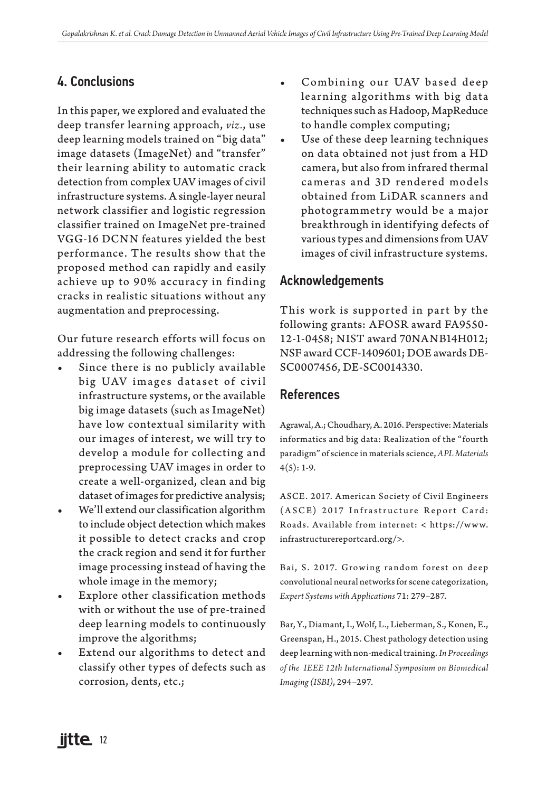## 4. Conclusions

In this paper, we explored and evaluated the deep transfer learning approach, *viz.*, use deep learning models trained on "big data" image datasets (ImageNet) and "transfer" their learning ability to automatic crack detection from complex UAV images of civil infrastructure systems. A single-layer neural network classifier and logistic regression classifier trained on ImageNet pre-trained VGG-16 DCNN features yielded the best performance. The results show that the proposed method can rapidly and easily achieve up to 90% accuracy in finding cracks in realistic situations without any augmentation and preprocessing.

Our future research efforts will focus on addressing the following challenges:

- Since there is no publicly available big UAV images dataset of civil infrastructure systems, or the available big image datasets (such as ImageNet) have low contextual similarity with our images of interest, we will try to develop a module for collecting and preprocessing UAV images in order to create a well-organized, clean and big dataset of images for predictive analysis;
- We'll extend our classification algorithm to include object detection which makes it possible to detect cracks and crop the crack region and send it for further image processing instead of having the whole image in the memory;
- Explore other classification methods with or without the use of pre-trained deep learning models to continuously improve the algorithms;
- Extend our algorithms to detect and classify other types of defects such as corrosion, dents, etc.;
- Combining our UAV based deep learning algorithms with big data techniques such as Hadoop, MapReduce to handle complex computing;
- Use of these deep learning techniques on data obtained not just from a HD camera, but also from infrared thermal cameras and 3D rendered models obtained from LiDAR scanners and photogrammetry would be a major breakthrough in identifying defects of various types and dimensions from UAV images of civil infrastructure systems.

## Acknowledgements

This work is supported in part by the following grants: AFOSR award FA9550- 12-1-0458; NIST award 70NANB14H012; NSF award CCF-1409601; DOE awards DE-SC0007456, DE-SC0014330.

## References

Agrawal, A.; Choudhary, A. 2016. Perspective: Materials informatics and big data: Realization of the "fourth paradigm" of science in materials science, *APL Materials*  $4(5): 1-9.$ 

ASCE. 2017. American Society of Civil Engineers (ASCE) 2017 Infrastructure Report Card: Roads. Available from internet: < https://ww w. infrastructurereportcard.org/>.

Bai, S. 2017. Growing random forest on deep convolutional neural networks for scene categorization, *Expert Systems with Applications* 71: 279–287.

Bar, Y., Diamant, I., Wolf, L., Lieberman, S., Konen, E., Greenspan, H., 2015. Chest pathology detection using deep learning with non-medical training. *In Proceedings of the IEEE 12th International Symposium on Biomedical Imaging (ISBI)*, 294–297.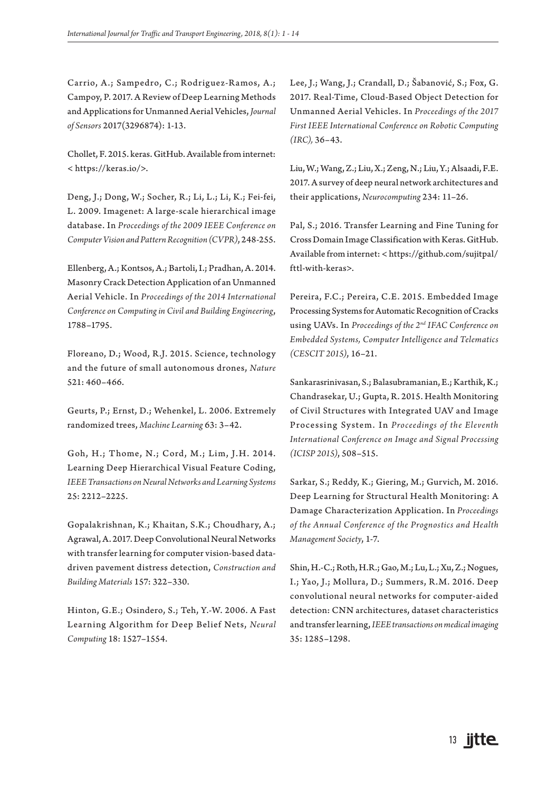Carrio, A.; Sampedro, C.; Rodriguez-Ramos, A.; Campoy, P. 2017. A Review of Deep Learning Methods and Applications for Unmanned Aerial Vehicles, *Journal of Sensors* 2017(3296874): 1-13.

Chollet, F. 2015. keras. GitHub. Available from internet: < https://keras.io/>.

Deng, J.; Dong, W.; Socher, R.; Li, L.; Li, K.; Fei-fei, L. 2009. Imagenet: A large-scale hierarchical image database. In *Proceedings of the 2009 IEEE Conference on Computer Vision and Pattern Recognition (CVPR)*, 248-255.

Ellenberg, A.; Kontsos, A.; Bartoli, I.; Pradhan, A. 2014. Masonry Crack Detection Application of an Unmanned Aerial Vehicle. In *Proceedings of the 2014 International Conference on Computing in Civil and Building Engineering*, 1788–1795.

Floreano, D.; Wood, R.J. 2015. Science, technology and the future of small autonomous drones, *Nature* 521: 460–466.

Geurts, P.; Ernst, D.; Wehenkel, L. 2006. Extremely randomized trees, *Machine Learning* 63: 3–42.

Goh, H.; Thome, N.; Cord, M.; Lim, J.H. 2014. Learning Deep Hierarchical Visual Feature Coding, *IEEE Transactions on Neural Networks and Learning Systems* 25: 2212–2225.

Gopalakrishnan, K.; Khaitan, S.K.; Choudhary, A.; Agrawal, A. 2017. Deep Convolutional Neural Networks with transfer learning for computer vision-based datadriven pavement distress detection, *Construction and Building Materials* 157: 322–330.

Hinton, G.E.; Osindero, S.; Teh, Y.-W. 2006. A Fast Learning Algorithm for Deep Belief Nets, *Neural Computing* 18: 1527–1554.

Lee, J.; Wang, J.; Crandall, D.; Šabanović, S.; Fox, G. 2017. Real-Time, Cloud-Based Object Detection for Unmanned Aerial Vehicles. In *Proceedings of the 2017 First IEEE International Conference on Robotic Computing (IRC),* 36–43.

Liu, W.; Wang, Z.; Liu, X.; Zeng, N.; Liu, Y.; Alsaadi, F.E. 2017. A survey of deep neural network architectures and their applications, *Neurocomputing* 234: 11–26.

Pal, S.; 2016. Transfer Learning and Fine Tuning for Cross Domain Image Classification with Keras. GitHub. Available from internet: < https://github.com/sujitpal/ fttl-with-keras>.

Pereira, F.C.; Pereira, C.E. 2015. Embedded Image Processing Systems for Automatic Recognition of Cracks using UAVs. In *Proceedings of the 2nd IFAC Conference on Embedded Systems, Computer Intelligence and Telematics (CESCIT 2015)*, 16–21.

Sankarasrinivasan, S.; Balasubramanian, E.; Karthik, K.; Chandrasekar, U.; Gupta, R. 2015. Health Monitoring of Civil Structures with Integrated UAV and Image Processing System. In *Proceedings of the Eleventh International Conference on Image and Signal Processing (ICISP 2015)*, 508–515.

Sarkar, S.; Reddy, K.; Giering, M.; Gurvich, M. 2016. Deep Learning for Structural Health Monitoring: A Damage Characterization Application. In *Proceedings of the Annual Conference of the Prognostics and Health Management Society*, 1-7.

Shin, H.-C.; Roth, H.R.; Gao, M.; Lu, L.; Xu, Z.; Nogues, I.; Yao, J.; Mollura, D.; Summers, R.M. 2016. Deep convolutional neural networks for computer-aided detection: CNN architectures, dataset characteristics and transfer learning, *IEEE transactions on medical imaging* 35: 1285–1298.